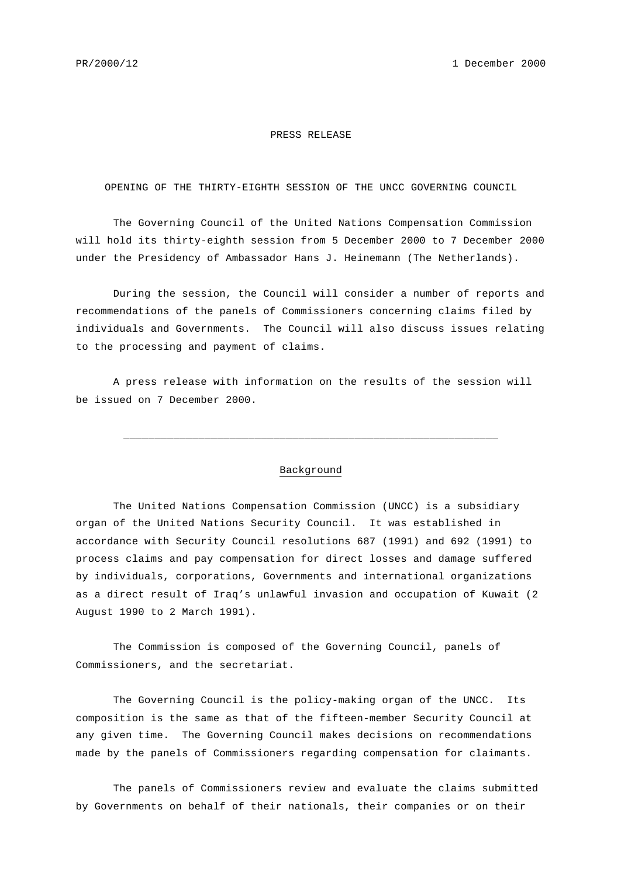## PRESS RELEASE

## OPENING OF THE THIRTY-EIGHTH SESSION OF THE UNCC GOVERNING COUNCIL

The Governing Council of the United Nations Compensation Commission will hold its thirty-eighth session from 5 December 2000 to 7 December 2000 under the Presidency of Ambassador Hans J. Heinemann (The Netherlands).

During the session, the Council will consider a number of reports and recommendations of the panels of Commissioners concerning claims filed by individuals and Governments. The Council will also discuss issues relating to the processing and payment of claims.

A press release with information on the results of the session will be issued on 7 December 2000.

## Background

\_\_\_\_\_\_\_\_\_\_\_\_\_\_\_\_\_\_\_\_\_\_\_\_\_\_\_\_\_\_\_\_\_\_\_\_\_\_\_\_\_\_\_\_\_\_\_\_\_\_\_\_\_\_\_\_\_\_\_\_

The United Nations Compensation Commission (UNCC) is a subsidiary organ of the United Nations Security Council. It was established in accordance with Security Council resolutions 687 (1991) and 692 (1991) to process claims and pay compensation for direct losses and damage suffered by individuals, corporations, Governments and international organizations as a direct result of Iraq's unlawful invasion and occupation of Kuwait (2 August 1990 to 2 March 1991).

The Commission is composed of the Governing Council, panels of Commissioners, and the secretariat.

The Governing Council is the policy-making organ of the UNCC. Its composition is the same as that of the fifteen-member Security Council at any given time. The Governing Council makes decisions on recommendations made by the panels of Commissioners regarding compensation for claimants.

The panels of Commissioners review and evaluate the claims submitted by Governments on behalf of their nationals, their companies or on their